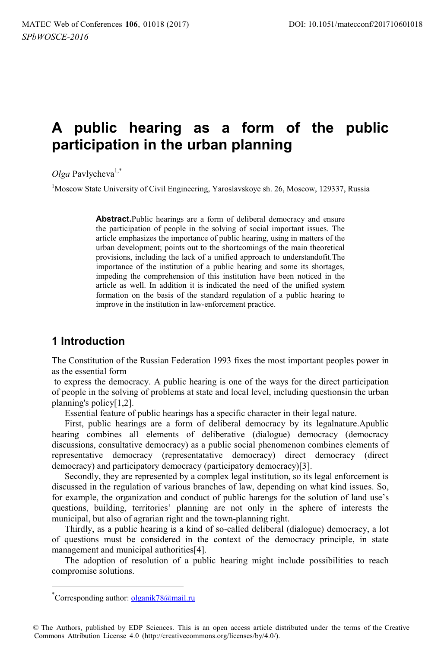# **A public hearing as a form of the public participation in the urban planning**

*Olga* Pavlycheva<sup>1,\*</sup>

<sup>1</sup>Moscow State University of Civil Engineering, Yaroslavskoye sh. 26, Moscow, 129337, Russia

**Abstract.**Public hearings are a form of deliberal democracy and ensure the participation of people in the solving of social important issues. The article emphasizes the importance of public hearing, using in matters of the urban development; points out to the shortcomings of the main theoretical provisions, including the lack of a unified approach to understandofit.The importance of the institution of a public hearing and some its shortages, impeding the comprehension of this institution have been noticed in the article as well. In addition it is indicated the need of the unified system formation on the basis of the standard regulation of a public hearing to improve in the institution in law-enforcement practice.

### **1 Introduction**

The Constitution of the Russian Federation 1993 fixes the most important peoples power in as the essential form

 to express the democracy. A public hearing is one of the ways for the direct participation of people in the solving of problems at state and local level, including questionsin the urban planning's policy[1,2].

Essential feature of public hearings has a specific character in their legal nature.

First, public hearings are a form of deliberal democracy by its legalnature.Apublic hearing combines all elements of deliberative (dialogue) democracy (democracy discussions, consultative democracy) as a public social phenomenon combines elements of representative democracy (representatative democracy) direct democracy (direct democracy) and participatory democracy (participatory democracy)[3].

Secondly, they are represented by a complex legal institution, so its legal enforcement is discussed in the regulation of various branches of law, depending on what kind issues. So, for example, the organization and conduct of public harengs for the solution of land use's questions, building, territories' planning are not only in the sphere of interests the municipal, but also of agrarian right and the town-planning right.

Thirdly, as a public hearing is a kind of so-called deliberal (dialogue) democracy, a lot of questions must be considered in the context of the democracy principle, in state management and municipal authorities[4].

The adoption of resolution of a public hearing might include possibilities to reach compromise solutions.

 $\overline{a}$ 

<sup>\*</sup>Corresponding author: **olganik78@mail.ru** 

<sup>©</sup> The Authors, published by EDP Sciences. This is an open access article distributed under the terms of the Creative Commons Attribution License 4.0 (http://creativecommons.org/licenses/by/4.0/).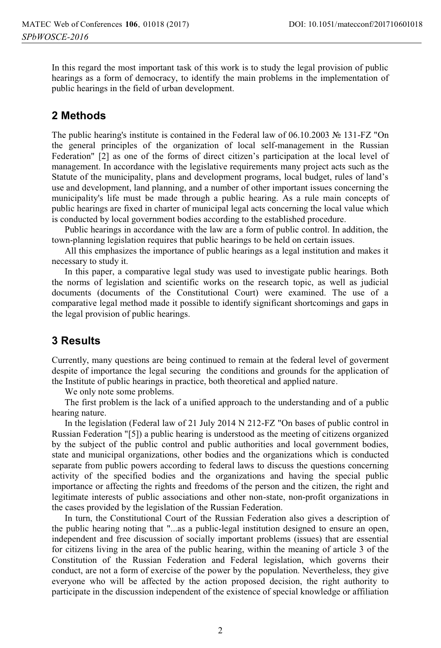In this regard the most important task of this work is to study the legal provision of public hearings as a form of democracy, to identify the main problems in the implementation of public hearings in the field of urban development.

## **2 Methods**

The public hearing's institute is contained in the Federal law of 06.10.2003 № 131-FZ "On the general principles of the organization of local self-management in the Russian Federation" [2] as one of the forms of direct citizen's participation at the local level of management. In accordance with the legislative requirements many project acts such as the Statute of the municipality, plans and development programs, local budget, rules of land's use and development, land planning, and a number of other important issues concerning the municipality's life must be made through a public hearing. As a rule main concepts of public hearings are fixed in charter of municipal legal acts concerning the local value which is conducted by local government bodies according to the established procedure.

Public hearings in accordance with the law are a form of public control. In addition, the town-planning legislation requires that public hearings to be held on certain issues.

All this emphasizes the importance of public hearings as a legal institution and makes it necessary to study it.

In this paper, a comparative legal study was used to investigate public hearings. Both the norms of legislation and scientific works on the research topic, as well as judicial documents (documents of the Constitutional Court) were examined. The use of a comparative legal method made it possible to identify significant shortcomings and gaps in the legal provision of public hearings.

## **3 Results**

Currently, many questions are being сontinued to remain at the federal level of goverment despite of importance the legal securing the conditions and grounds for the application of the Institute of public hearings in practice, both theoretical and applied nature.

We only note some problems.

The first problem is the lack of a unified approach to the understanding and of a public hearing nature.

In the legislation (Federal law of 21 July 2014 N 212-FZ "On bases of public control in Russian Federation "[5]) a public hearing is understood as the meeting of citizens organized by the subject of the public control and public authorities and local government bodies, state and municipal organizations, other bodies and the organizations which is conducted separate from public powers according to federal laws to discuss the questions concerning activity of the specified bodies and the organizations and having the special public importance or affecting the rights and freedoms of the person and the citizen, the right and legitimate interests of public associations and other non-state, non-profit organizations in the cases provided by the legislation of the Russian Federation.

In turn, the Constitutional Court of the Russian Federation also gives a description of the public hearing noting that "...as a public-legal institution designed to ensure an open, independent and free discussion of socially important problems (issues) that are essential for citizens living in the area of the public hearing, within the meaning of article 3 of the Constitution of the Russian Federation and Federal legislation, which governs their conduct, are not a form of exercise of the power by the population. Nevertheless, they give everyone who will be affected by the action proposed decision, the right authority to participate in the discussion independent of the existence of special knowledge or affiliation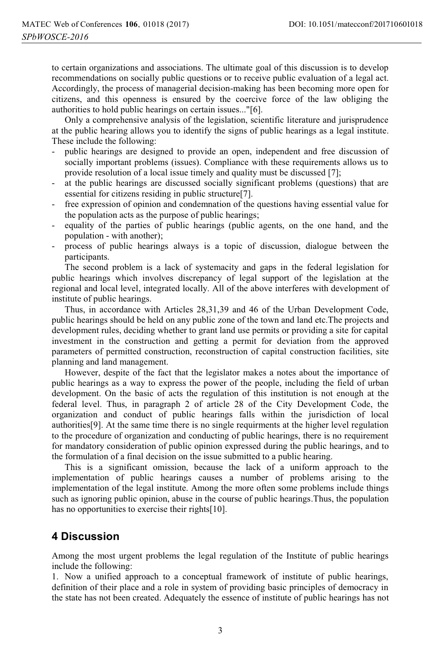to certain organizations and associations. The ultimate goal of this discussion is to develop recommendations on socially public questions or to receive public evaluation of a legal act. Accordingly, the process of managerial decision-making has been becoming more open for citizens, and this openness is ensured by the coercive force of the law obliging the authorities to hold public hearings on certain issues..."[6].

Only a comprehensive analysis of the legislation, scientific literature and jurisprudence at the public hearing allows you to identify the signs of public hearings as a legal institute. These include the following:

- public hearings are designed to provide an open, independent and free discussion of socially important problems (issues). Compliance with these requirements allows us to provide resolution of a local issue timely and quality must be discussed [7];
- at the public hearings are discussed socially significant problems (questions) that are essential for citizens residing in public structure[7].
- free expression of opinion and condemnation of the questions having essential value for the population acts as the purpose of public hearings;
- equality of the parties of public hearings (public agents, on the one hand, and the population - with another);
- process of public hearings always is a topic of discussion, dialogue between the participants.

The second problem is a lack of systemacity and gaps in the federal legislation for public hearings which involves discrepancy of legal support of the legislation at the regional and local level, integrated locally. All of the above interferes with development of institute of public hearings.

Thus, in accordance with Articles 28,31,39 and 46 of the Urban Development Code, public hearings should be held on any public zone of the town and land etc.The projects and development rules, deciding whether to grant land use permits or providing a site for capital investment in the construction and getting a permit for deviation from the approved parameters of permitted construction, reconstruction of capital construction facilities, site planning and land management.

However, despite of the fact that the legislator makes a notes about the importance of public hearings as a way to express the power of the people, including the field of urban development. On the basic of acts the regulation of this institution is not enough at the federal level. Thus, in paragraph 2 of article 28 of the City Development Code, the organization and conduct of public hearings falls within the jurisdiction of local authorities[9]. At the same time there is no single requirments at the higher level regulation to the procedure of organization and conducting of public hearings, there is no requirement for mandatory consideration of public opinion expressed during the public hearings, and to the formulation of a final decision on the issue submitted to a public hearing.

This is a significant omission, because the lack of a uniform approach to the implementation of public hearings causes a number of problems arising to the implementation of the legal institute. Among the more often some problems include things such as ignoring public opinion, abuse in the course of public hearings.Thus, the population has no opportunities to exercise their rights[10].

### **4 Discussion**

Among the most urgent problems the legal regulation of the Institute of public hearings include the following:

1. Now a unified approach to a conceptual framework of institute of public hearings, definition of their place and a role in system of providing basic principles of democracy in the state has not been created. Adequately the essence of institute of public hearings has not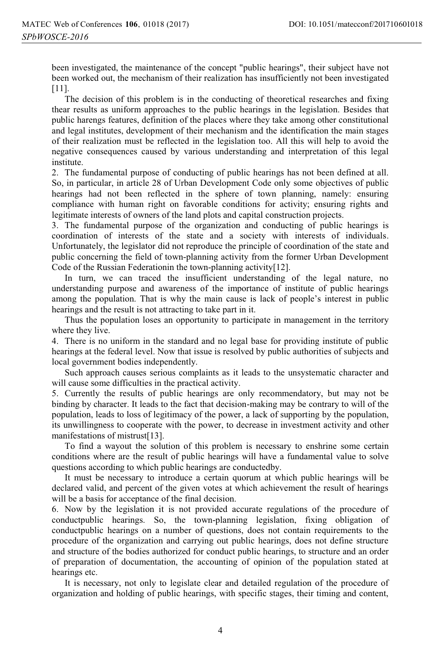been investigated, the maintenance of the concept "public hearings", their subject have not been worked out, the mechanism of their realization has insufficiently not been investigated [11].

The decision of this problem is in the conducting of theoretical researches and fixing thear results as uniform approaches to the public hearings in the legislation. Besides that public harengs features, definition of the places where they take among other constitutional and legal institutes, development of their mechanism and the identification the main stages of their realization must be reflected in the legislation too. All this will help to avoid the negative consequences caused by various understanding and interpretation of this legal institute.

2. The fundamental purpose of conducting of public hearings has not been defined at all. So, in particular, in article 28 of Urban Development Code only some objectives of public hearings had not been reflected in the sphere of town planning, namely: ensuring compliance with human right on favorable conditions for activity; ensuring rights and legitimate interests of owners of the land plots and capital construction projects.

3. The fundamental purpose of the organization and conducting of public hearings is coordination of interests of the state and a society with interests of individuals. Unfortunately, the legislator did not reproduce the principle of coordination of the state and public concerning the field of town-planning activity from the former Urban Development Code of the Russian Federationin the town-planning activity[12].

In turn, we can traced the insufficient understanding of the legal nature, no understanding purpose and awareness of the importance of institute of public hearings among the population. That is why the main cause is lack of people's interest in public hearings and the result is not attracting to take part in it.

Thus the population loses an opportunity to participate in management in the territory where they live.

4. There is no uniform in the standard and no legal base for providing institute of public hearings at the federal level. Now that issue is resolved by public authorities of subjects and local government bodies independently.

Such approach causes serious complaints as it leads to the unsystematic character and will cause some difficulties in the practical activity.

5. Currently the results of public hearings are only recommendatory, but may not be binding by character. It leads to the fact that decision-making may be contrary to will of the population, leads to loss of legitimacy of the power, a lack of supporting by the population, its unwillingness to cooperate with the power, to decrease in investment activity and other manifestations of mistrust[13].

To find a wayout the solution of this problem is necessary to enshrine some certain conditions where are the result of public hearings will have a fundamental value to solve questions according to which public hearings are conductedby.

It must be necessary to introduce a certain quorum at which public hearings will be declared valid, and percent of the given votes at which achievement the result of hearings will be a basis for acceptance of the final decision.

6. Now by the legislation it is not provided accurate regulations of the procedure of conductpublic hearings. So, the town-planning legislation, fixing obligation of conductpublic hearings on a number of questions, does not contain requirements to the procedure of the organization and carrying out public hearings, does not define structure and structure of the bodies authorized for conduct public hearings, to structure and an order of preparation of documentation, the accounting of opinion of the population stated at hearings etc.

It is necessary, not only to legislate clear and detailed regulation of the procedure of organization and holding of public hearings, with specific stages, their timing and content,